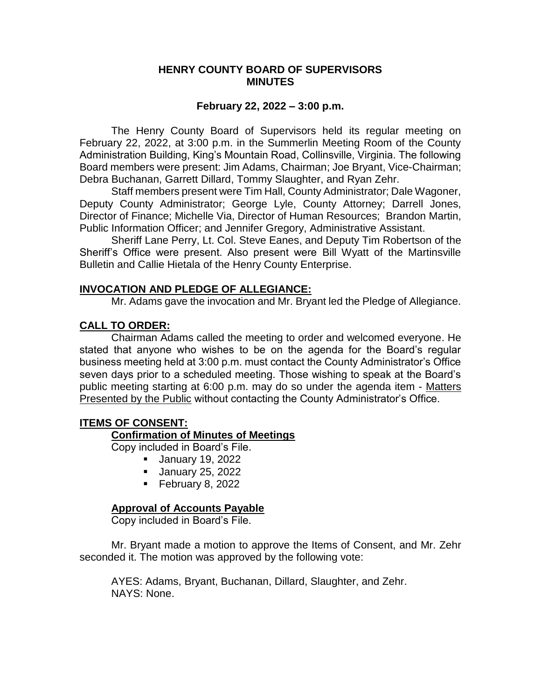### **HENRY COUNTY BOARD OF SUPERVISORS MINUTES**

### **February 22, 2022 – 3:00 p.m.**

The Henry County Board of Supervisors held its regular meeting on February 22, 2022, at 3:00 p.m. in the Summerlin Meeting Room of the County Administration Building, King's Mountain Road, Collinsville, Virginia. The following Board members were present: Jim Adams, Chairman; Joe Bryant, Vice-Chairman; Debra Buchanan, Garrett Dillard, Tommy Slaughter, and Ryan Zehr.

Staff members present were Tim Hall, County Administrator; Dale Wagoner, Deputy County Administrator; George Lyle, County Attorney; Darrell Jones, Director of Finance; Michelle Via, Director of Human Resources; Brandon Martin, Public Information Officer; and Jennifer Gregory, Administrative Assistant.

Sheriff Lane Perry, Lt. Col. Steve Eanes, and Deputy Tim Robertson of the Sheriff's Office were present. Also present were Bill Wyatt of the Martinsville Bulletin and Callie Hietala of the Henry County Enterprise.

#### **INVOCATION AND PLEDGE OF ALLEGIANCE:**

Mr. Adams gave the invocation and Mr. Bryant led the Pledge of Allegiance.

# **CALL TO ORDER:**

Chairman Adams called the meeting to order and welcomed everyone. He stated that anyone who wishes to be on the agenda for the Board's regular business meeting held at 3:00 p.m. must contact the County Administrator's Office seven days prior to a scheduled meeting. Those wishing to speak at the Board's public meeting starting at 6:00 p.m. may do so under the agenda item - Matters Presented by the Public without contacting the County Administrator's Office.

# **ITEMS OF CONSENT:**

# **Confirmation of Minutes of Meetings**

Copy included in Board's File.

- **January 19, 2022**
- **January 25, 2022**
- February 8, 2022

# **Approval of Accounts Payable**

Copy included in Board's File.

Mr. Bryant made a motion to approve the Items of Consent, and Mr. Zehr seconded it. The motion was approved by the following vote: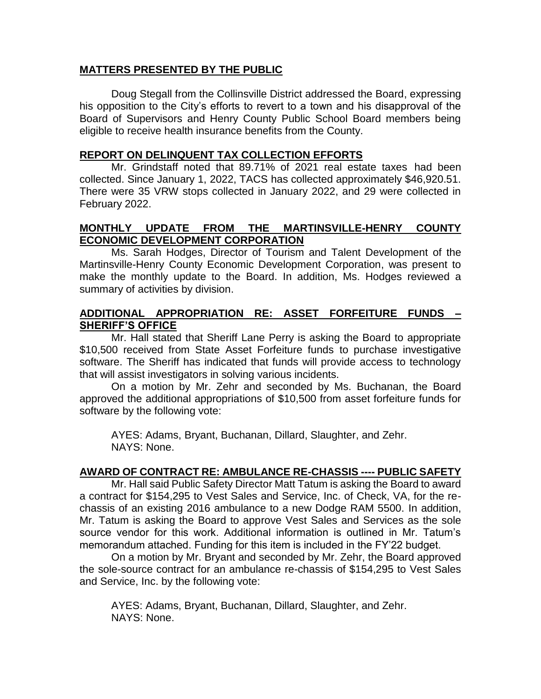# **MATTERS PRESENTED BY THE PUBLIC**

Doug Stegall from the Collinsville District addressed the Board, expressing his opposition to the City's efforts to revert to a town and his disapproval of the Board of Supervisors and Henry County Public School Board members being eligible to receive health insurance benefits from the County.

# **REPORT ON DELINQUENT TAX COLLECTION EFFORTS**

Mr. Grindstaff noted that 89.71% of 2021 real estate taxes had been collected. Since January 1, 2022, TACS has collected approximately \$46,920.51. There were 35 VRW stops collected in January 2022, and 29 were collected in February 2022.

# **MONTHLY UPDATE FROM THE MARTINSVILLE-HENRY COUNTY ECONOMIC DEVELOPMENT CORPORATION**

Ms. Sarah Hodges, Director of Tourism and Talent Development of the Martinsville-Henry County Economic Development Corporation, was present to make the monthly update to the Board. In addition, Ms. Hodges reviewed a summary of activities by division.

# **ADDITIONAL APPROPRIATION RE: ASSET FORFEITURE FUNDS – SHERIFF'S OFFICE**

Mr. Hall stated that Sheriff Lane Perry is asking the Board to appropriate \$10,500 received from State Asset Forfeiture funds to purchase investigative software. The Sheriff has indicated that funds will provide access to technology that will assist investigators in solving various incidents.

On a motion by Mr. Zehr and seconded by Ms. Buchanan, the Board approved the additional appropriations of \$10,500 from asset forfeiture funds for software by the following vote:

AYES: Adams, Bryant, Buchanan, Dillard, Slaughter, and Zehr. NAYS: None.

#### **AWARD OF CONTRACT RE: AMBULANCE RE-CHASSIS ---- PUBLIC SAFETY**

Mr. Hall said Public Safety Director Matt Tatum is asking the Board to award a contract for \$154,295 to Vest Sales and Service, Inc. of Check, VA, for the rechassis of an existing 2016 ambulance to a new Dodge RAM 5500. In addition, Mr. Tatum is asking the Board to approve Vest Sales and Services as the sole source vendor for this work. Additional information is outlined in Mr. Tatum's memorandum attached. Funding for this item is included in the FY'22 budget.

On a motion by Mr. Bryant and seconded by Mr. Zehr, the Board approved the sole-source contract for an ambulance re-chassis of \$154,295 to Vest Sales and Service, Inc. by the following vote: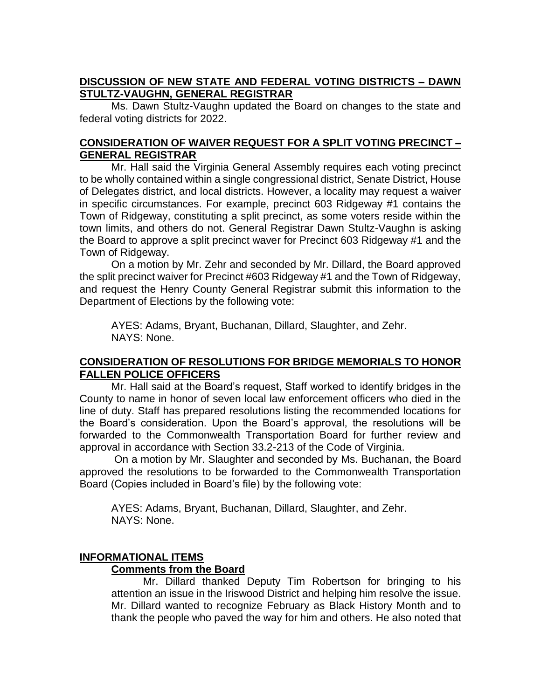# **DISCUSSION OF NEW STATE AND FEDERAL VOTING DISTRICTS – DAWN STULTZ-VAUGHN, GENERAL REGISTRAR**

Ms. Dawn Stultz-Vaughn updated the Board on changes to the state and federal voting districts for 2022.

# **CONSIDERATION OF WAIVER REQUEST FOR A SPLIT VOTING PRECINCT – GENERAL REGISTRAR**

Mr. Hall said the Virginia General Assembly requires each voting precinct to be wholly contained within a single congressional district, Senate District, House of Delegates district, and local districts. However, a locality may request a waiver in specific circumstances. For example, precinct 603 Ridgeway #1 contains the Town of Ridgeway, constituting a split precinct, as some voters reside within the town limits, and others do not. General Registrar Dawn Stultz-Vaughn is asking the Board to approve a split precinct waver for Precinct 603 Ridgeway #1 and the Town of Ridgeway.

On a motion by Mr. Zehr and seconded by Mr. Dillard, the Board approved the split precinct waiver for Precinct #603 Ridgeway #1 and the Town of Ridgeway, and request the Henry County General Registrar submit this information to the Department of Elections by the following vote:

AYES: Adams, Bryant, Buchanan, Dillard, Slaughter, and Zehr. NAYS: None.

# **CONSIDERATION OF RESOLUTIONS FOR BRIDGE MEMORIALS TO HONOR FALLEN POLICE OFFICERS**

Mr. Hall said at the Board's request, Staff worked to identify bridges in the County to name in honor of seven local law enforcement officers who died in the line of duty. Staff has prepared resolutions listing the recommended locations for the Board's consideration. Upon the Board's approval, the resolutions will be forwarded to the Commonwealth Transportation Board for further review and approval in accordance with Section 33.2-213 of the Code of Virginia.

On a motion by Mr. Slaughter and seconded by Ms. Buchanan, the Board approved the resolutions to be forwarded to the Commonwealth Transportation Board (Copies included in Board's file) by the following vote:

AYES: Adams, Bryant, Buchanan, Dillard, Slaughter, and Zehr. NAYS: None.

# **INFORMATIONAL ITEMS**

# **Comments from the Board**

Mr. Dillard thanked Deputy Tim Robertson for bringing to his attention an issue in the Iriswood District and helping him resolve the issue. Mr. Dillard wanted to recognize February as Black History Month and to thank the people who paved the way for him and others. He also noted that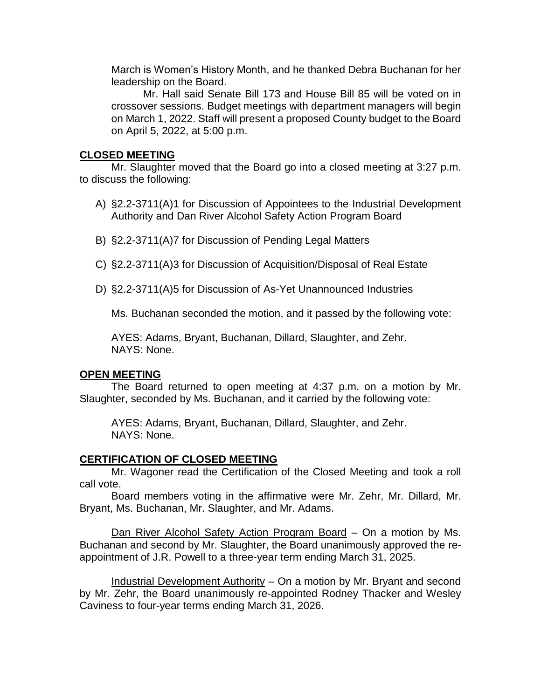March is Women's History Month, and he thanked Debra Buchanan for her leadership on the Board.

Mr. Hall said Senate Bill 173 and House Bill 85 will be voted on in crossover sessions. Budget meetings with department managers will begin on March 1, 2022. Staff will present a proposed County budget to the Board on April 5, 2022, at 5:00 p.m.

### **CLOSED MEETING**

Mr. Slaughter moved that the Board go into a closed meeting at 3:27 p.m. to discuss the following:

- A) §2.2-3711(A)1 for Discussion of Appointees to the Industrial Development Authority and Dan River Alcohol Safety Action Program Board
- B) §2.2-3711(A)7 for Discussion of Pending Legal Matters
- C) §2.2-3711(A)3 for Discussion of Acquisition/Disposal of Real Estate
- D) §2.2-3711(A)5 for Discussion of As-Yet Unannounced Industries

Ms. Buchanan seconded the motion, and it passed by the following vote:

AYES: Adams, Bryant, Buchanan, Dillard, Slaughter, and Zehr. NAYS: None.

#### **OPEN MEETING**

The Board returned to open meeting at 4:37 p.m. on a motion by Mr. Slaughter, seconded by Ms. Buchanan, and it carried by the following vote:

AYES: Adams, Bryant, Buchanan, Dillard, Slaughter, and Zehr. NAYS: None.

#### **CERTIFICATION OF CLOSED MEETING**

Mr. Wagoner read the Certification of the Closed Meeting and took a roll call vote.

Board members voting in the affirmative were Mr. Zehr, Mr. Dillard, Mr. Bryant, Ms. Buchanan, Mr. Slaughter, and Mr. Adams.

Dan River Alcohol Safety Action Program Board – On a motion by Ms. Buchanan and second by Mr. Slaughter, the Board unanimously approved the reappointment of J.R. Powell to a three-year term ending March 31, 2025.

Industrial Development Authority – On a motion by Mr. Bryant and second by Mr. Zehr, the Board unanimously re-appointed Rodney Thacker and Wesley Caviness to four-year terms ending March 31, 2026.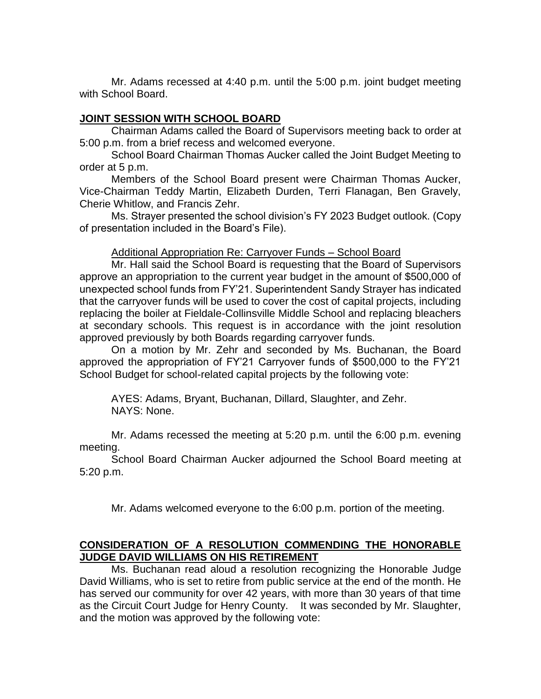Mr. Adams recessed at 4:40 p.m. until the 5:00 p.m. joint budget meeting with School Board.

# **JOINT SESSION WITH SCHOOL BOARD**

Chairman Adams called the Board of Supervisors meeting back to order at 5:00 p.m. from a brief recess and welcomed everyone.

School Board Chairman Thomas Aucker called the Joint Budget Meeting to order at 5 p.m.

Members of the School Board present were Chairman Thomas Aucker, Vice-Chairman Teddy Martin, Elizabeth Durden, Terri Flanagan, Ben Gravely, Cherie Whitlow, and Francis Zehr.

Ms. Strayer presented the school division's FY 2023 Budget outlook. (Copy of presentation included in the Board's File).

### Additional Appropriation Re: Carryover Funds – School Board

Mr. Hall said the School Board is requesting that the Board of Supervisors approve an appropriation to the current year budget in the amount of \$500,000 of unexpected school funds from FY'21. Superintendent Sandy Strayer has indicated that the carryover funds will be used to cover the cost of capital projects, including replacing the boiler at Fieldale-Collinsville Middle School and replacing bleachers at secondary schools. This request is in accordance with the joint resolution approved previously by both Boards regarding carryover funds.

On a motion by Mr. Zehr and seconded by Ms. Buchanan, the Board approved the appropriation of FY'21 Carryover funds of \$500,000 to the FY'21 School Budget for school-related capital projects by the following vote:

AYES: Adams, Bryant, Buchanan, Dillard, Slaughter, and Zehr. NAYS: None.

Mr. Adams recessed the meeting at 5:20 p.m. until the 6:00 p.m. evening meeting.

School Board Chairman Aucker adjourned the School Board meeting at 5:20 p.m.

Mr. Adams welcomed everyone to the 6:00 p.m. portion of the meeting.

# **CONSIDERATION OF A RESOLUTION COMMENDING THE HONORABLE JUDGE DAVID WILLIAMS ON HIS RETIREMENT**

Ms. Buchanan read aloud a resolution recognizing the Honorable Judge David Williams, who is set to retire from public service at the end of the month. He has served our community for over 42 years, with more than 30 years of that time as the Circuit Court Judge for Henry County. It was seconded by Mr. Slaughter, and the motion was approved by the following vote: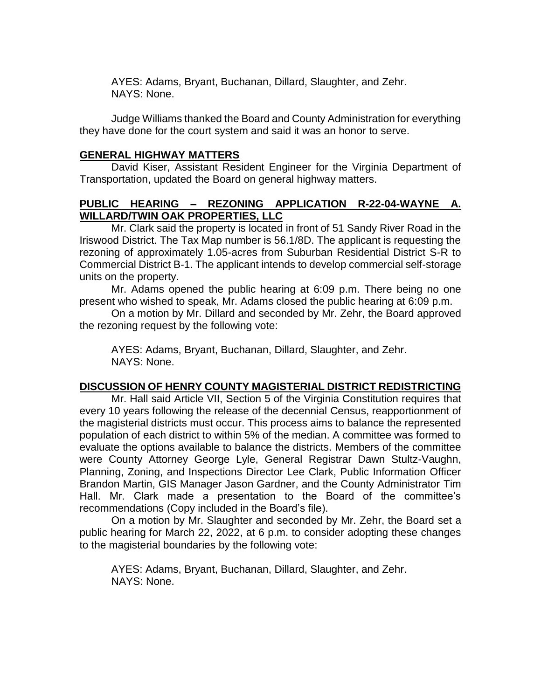AYES: Adams, Bryant, Buchanan, Dillard, Slaughter, and Zehr. NAYS: None.

Judge Williams thanked the Board and County Administration for everything they have done for the court system and said it was an honor to serve.

# **GENERAL HIGHWAY MATTERS**

David Kiser, Assistant Resident Engineer for the Virginia Department of Transportation, updated the Board on general highway matters.

# **PUBLIC HEARING – REZONING APPLICATION R-22-04-WAYNE A. WILLARD/TWIN OAK PROPERTIES, LLC**

Mr. Clark said the property is located in front of 51 Sandy River Road in the Iriswood District. The Tax Map number is 56.1/8D. The applicant is requesting the rezoning of approximately 1.05-acres from Suburban Residential District S-R to Commercial District B-1. The applicant intends to develop commercial self-storage units on the property.

Mr. Adams opened the public hearing at 6:09 p.m. There being no one present who wished to speak, Mr. Adams closed the public hearing at 6:09 p.m.

On a motion by Mr. Dillard and seconded by Mr. Zehr, the Board approved the rezoning request by the following vote:

AYES: Adams, Bryant, Buchanan, Dillard, Slaughter, and Zehr. NAYS: None.

# **DISCUSSION OF HENRY COUNTY MAGISTERIAL DISTRICT REDISTRICTING**

Mr. Hall said Article VII, Section 5 of the Virginia Constitution requires that every 10 years following the release of the decennial Census, reapportionment of the magisterial districts must occur. This process aims to balance the represented population of each district to within 5% of the median. A committee was formed to evaluate the options available to balance the districts. Members of the committee were County Attorney George Lyle, General Registrar Dawn Stultz-Vaughn, Planning, Zoning, and Inspections Director Lee Clark, Public Information Officer Brandon Martin, GIS Manager Jason Gardner, and the County Administrator Tim Hall. Mr. Clark made a presentation to the Board of the committee's recommendations (Copy included in the Board's file).

On a motion by Mr. Slaughter and seconded by Mr. Zehr, the Board set a public hearing for March 22, 2022, at 6 p.m. to consider adopting these changes to the magisterial boundaries by the following vote: